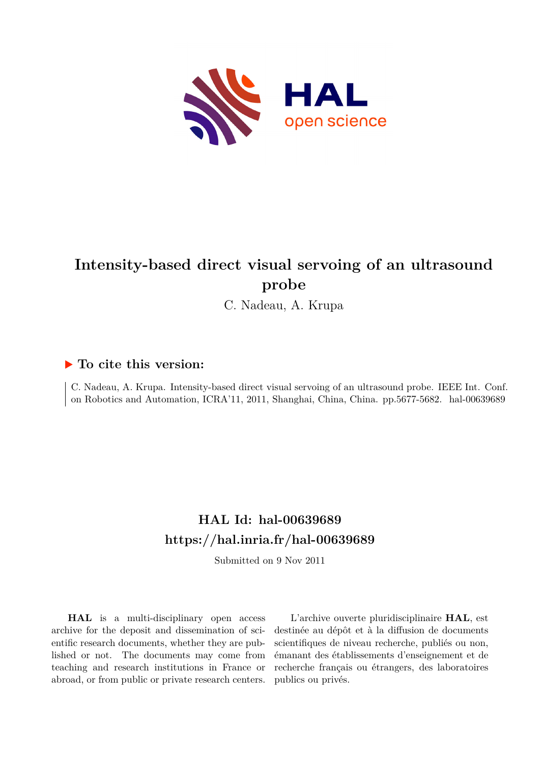

# **Intensity-based direct visual servoing of an ultrasound probe**

C. Nadeau, A. Krupa

### **To cite this version:**

C. Nadeau, A. Krupa. Intensity-based direct visual servoing of an ultrasound probe. IEEE Int. Conf. on Robotics and Automation, ICRA'11, 2011, Shanghai, China, China. pp.5677-5682. hal-00639689

## **HAL Id: hal-00639689 <https://hal.inria.fr/hal-00639689>**

Submitted on 9 Nov 2011

**HAL** is a multi-disciplinary open access archive for the deposit and dissemination of scientific research documents, whether they are published or not. The documents may come from teaching and research institutions in France or abroad, or from public or private research centers.

L'archive ouverte pluridisciplinaire **HAL**, est destinée au dépôt et à la diffusion de documents scientifiques de niveau recherche, publiés ou non, émanant des établissements d'enseignement et de recherche français ou étrangers, des laboratoires publics ou privés.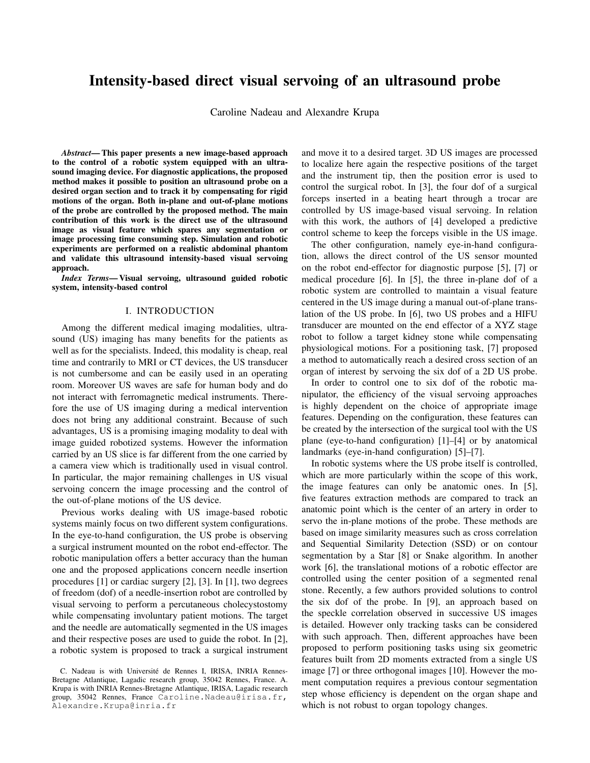## Intensity-based direct visual servoing of an ultrasound probe

Caroline Nadeau and Alexandre Krupa

*Abstract*— This paper presents a new image-based approach to the control of a robotic system equipped with an ultrasound imaging device. For diagnostic applications, the proposed method makes it possible to position an ultrasound probe on a desired organ section and to track it by compensating for rigid motions of the organ. Both in-plane and out-of-plane motions of the probe are controlled by the proposed method. The main contribution of this work is the direct use of the ultrasound image as visual feature which spares any segmentation or image processing time consuming step. Simulation and robotic experiments are performed on a realistic abdominal phantom and validate this ultrasound intensity-based visual servoing approach.

*Index Terms*— Visual servoing, ultrasound guided robotic system, intensity-based control

#### I. INTRODUCTION

Among the different medical imaging modalities, ultrasound (US) imaging has many benefits for the patients as well as for the specialists. Indeed, this modality is cheap, real time and contrarily to MRI or CT devices, the US transducer is not cumbersome and can be easily used in an operating room. Moreover US waves are safe for human body and do not interact with ferromagnetic medical instruments. Therefore the use of US imaging during a medical intervention does not bring any additional constraint. Because of such advantages, US is a promising imaging modality to deal with image guided robotized systems. However the information carried by an US slice is far different from the one carried by a camera view which is traditionally used in visual control. In particular, the major remaining challenges in US visual servoing concern the image processing and the control of the out-of-plane motions of the US device.

Previous works dealing with US image-based robotic systems mainly focus on two different system configurations. In the eye-to-hand configuration, the US probe is observing a surgical instrument mounted on the robot end-effector. The robotic manipulation offers a better accuracy than the human one and the proposed applications concern needle insertion procedures [1] or cardiac surgery [2], [3]. In [1], two degrees of freedom (dof) of a needle-insertion robot are controlled by visual servoing to perform a percutaneous cholecystostomy while compensating involuntary patient motions. The target and the needle are automatically segmented in the US images and their respective poses are used to guide the robot. In [2], a robotic system is proposed to track a surgical instrument and move it to a desired target. 3D US images are processed to localize here again the respective positions of the target and the instrument tip, then the position error is used to control the surgical robot. In [3], the four dof of a surgical forceps inserted in a beating heart through a trocar are controlled by US image-based visual servoing. In relation with this work, the authors of [4] developed a predictive control scheme to keep the forceps visible in the US image.

The other configuration, namely eye-in-hand configuration, allows the direct control of the US sensor mounted on the robot end-effector for diagnostic purpose [5], [7] or medical procedure [6]. In [5], the three in-plane dof of a robotic system are controlled to maintain a visual feature centered in the US image during a manual out-of-plane translation of the US probe. In [6], two US probes and a HIFU transducer are mounted on the end effector of a XYZ stage robot to follow a target kidney stone while compensating physiological motions. For a positioning task, [7] proposed a method to automatically reach a desired cross section of an organ of interest by servoing the six dof of a 2D US probe.

In order to control one to six dof of the robotic manipulator, the efficiency of the visual servoing approaches is highly dependent on the choice of appropriate image features. Depending on the configuration, these features can be created by the intersection of the surgical tool with the US plane (eye-to-hand configuration) [1]–[4] or by anatomical landmarks (eye-in-hand configuration) [5]–[7].

In robotic systems where the US probe itself is controlled, which are more particularly within the scope of this work, the image features can only be anatomic ones. In [5], five features extraction methods are compared to track an anatomic point which is the center of an artery in order to servo the in-plane motions of the probe. These methods are based on image similarity measures such as cross correlation and Sequential Similarity Detection (SSD) or on contour segmentation by a Star [8] or Snake algorithm. In another work [6], the translational motions of a robotic effector are controlled using the center position of a segmented renal stone. Recently, a few authors provided solutions to control the six dof of the probe. In [9], an approach based on the speckle correlation observed in successive US images is detailed. However only tracking tasks can be considered with such approach. Then, different approaches have been proposed to perform positioning tasks using six geometric features built from 2D moments extracted from a single US image [7] or three orthogonal images [10]. However the moment computation requires a previous contour segmentation step whose efficiency is dependent on the organ shape and which is not robust to organ topology changes.

C. Nadeau is with Université de Rennes I, IRISA, INRIA Rennes-Bretagne Atlantique, Lagadic research group, 35042 Rennes, France. A. Krupa is with INRIA Rennes-Bretagne Atlantique, IRISA, Lagadic research group, 35042 Rennes, France Caroline.Nadeau@irisa.fr, Alexandre.Krupa@inria.fr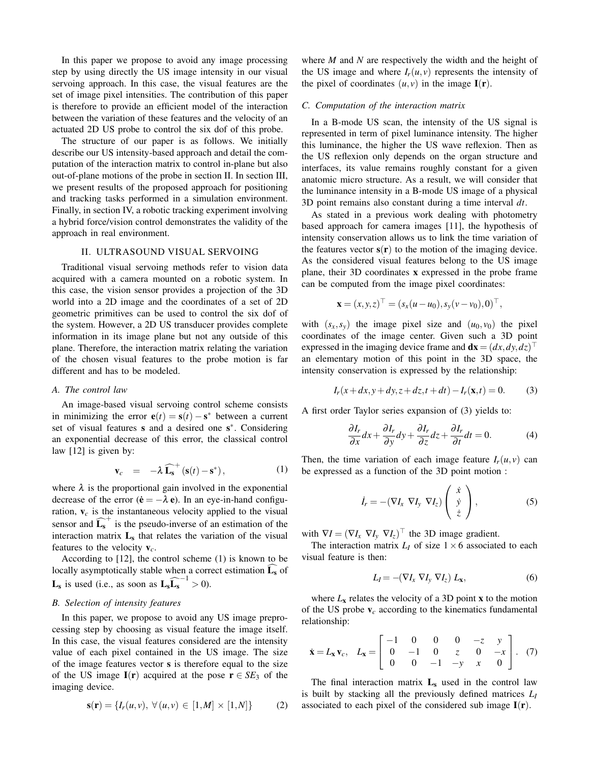In this paper we propose to avoid any image processing step by using directly the US image intensity in our visual servoing approach. In this case, the visual features are the set of image pixel intensities. The contribution of this paper is therefore to provide an efficient model of the interaction between the variation of these features and the velocity of an actuated 2D US probe to control the six dof of this probe.

The structure of our paper is as follows. We initially describe our US intensity-based approach and detail the computation of the interaction matrix to control in-plane but also out-of-plane motions of the probe in section II. In section III, we present results of the proposed approach for positioning and tracking tasks performed in a simulation environment. Finally, in section IV, a robotic tracking experiment involving a hybrid force/vision control demonstrates the validity of the approach in real environment.

#### II. ULTRASOUND VISUAL SERVOING

Traditional visual servoing methods refer to vision data acquired with a camera mounted on a robotic system. In this case, the vision sensor provides a projection of the 3D world into a 2D image and the coordinates of a set of 2D geometric primitives can be used to control the six dof of the system. However, a 2D US transducer provides complete information in its image plane but not any outside of this plane. Therefore, the interaction matrix relating the variation of the chosen visual features to the probe motion is far different and has to be modeled.

#### *A. The control law*

An image-based visual servoing control scheme consists in minimizing the error  $\mathbf{e}(t) = \mathbf{s}(t) - \mathbf{s}^*$  between a current set of visual features s and a desired one s<sup>\*</sup>. Considering an exponential decrease of this error, the classical control law [12] is given by:

$$
\mathbf{v}_c = -\lambda \,\widehat{\mathbf{L}}_\mathbf{s}^+ \left( \mathbf{s}(t) - \mathbf{s}^* \right), \tag{1}
$$

where  $\lambda$  is the proportional gain involved in the exponential decrease of the error ( $\dot{\mathbf{e}} = -\lambda \mathbf{e}$ ). In an eye-in-hand configuration,  $v_c$  is the instantaneous velocity applied to the visual sensor and  $\widehat{\mathbf{L}_{s}}^{+}$  is the pseudo-inverse of an estimation of the interaction matrix  $\mathbf{L}_s$  that relates the variation of the visual features to the velocity  $v_c$ .

According to [12], the control scheme (1) is known to be locally asymptotically stable when a correct estimation  $\mathbf{L}_s$  of  $\mathbf{L_s}$  is used (i.e., as soon as  $\mathbf{L_s} \widehat{\mathbf{L_s}}^{-1} > 0$ ).

#### *B. Selection of intensity features*

In this paper, we propose to avoid any US image preprocessing step by choosing as visual feature the image itself. In this case, the visual features considered are the intensity value of each pixel contained in the US image. The size of the image features vector s is therefore equal to the size of the US image  $I(r)$  acquired at the pose  $r \in SE_3$  of the imaging device.

$$
\mathbf{s}(\mathbf{r}) = \{I_r(u, v), \forall (u, v) \in [1, M] \times [1, N]\}
$$
 (2)

where *M* and *N* are respectively the width and the height of the US image and where  $I_r(u, v)$  represents the intensity of the pixel of coordinates  $(u, v)$  in the image  $I(r)$ .

#### *C. Computation of the interaction matrix*

In a B-mode US scan, the intensity of the US signal is represented in term of pixel luminance intensity. The higher this luminance, the higher the US wave reflexion. Then as the US reflexion only depends on the organ structure and interfaces, its value remains roughly constant for a given anatomic micro structure. As a result, we will consider that the luminance intensity in a B-mode US image of a physical 3D point remains also constant during a time interval *dt*.

As stated in a previous work dealing with photometry based approach for camera images [11], the hypothesis of intensity conservation allows us to link the time variation of the features vector  $s(r)$  to the motion of the imaging device. As the considered visual features belong to the US image plane, their 3D coordinates x expressed in the probe frame can be computed from the image pixel coordinates:

$$
\mathbf{x} = (x, y, z)^{\top} = (s_x(u - u_0), s_y(v - v_0), 0)^{\top},
$$

with  $(s_x, s_y)$  the image pixel size and  $(u_0, v_0)$  the pixel coordinates of the image center. Given such a 3D point expressed in the imaging device frame and  $dx = (dx, dy, dz)$ <sup>T</sup> an elementary motion of this point in the 3D space, the intensity conservation is expressed by the relationship:

$$
I_r(x+dx, y+dy, z+dz, t+dt) - I_r(\mathbf{x}, t) = 0.
$$
 (3)

A first order Taylor series expansion of (3) yields to:

$$
\frac{\partial I_r}{\partial x}dx + \frac{\partial I_r}{\partial y}dy + \frac{\partial I_r}{\partial z}dz + \frac{\partial I_r}{\partial t}dt = 0.
$$
 (4)

Then, the time variation of each image feature  $I_r(u, v)$  can be expressed as a function of the 3D point motion :

$$
\dot{I}_r = -(\nabla I_x \ \nabla I_y \ \nabla I_z) \begin{pmatrix} \dot{x} \\ \dot{y} \\ \dot{z} \end{pmatrix}, \tag{5}
$$

with  $\nabla I = (\nabla I_x \nabla I_y \nabla I_z)^\top$  the 3D image gradient.

The interaction matrix  $L_I$  of size  $1 \times 6$  associated to each visual feature is then:

$$
L_I = -(\nabla I_x \nabla I_y \nabla I_z) L_x, \qquad (6)
$$

where  $L_x$  relates the velocity of a 3D point  $x$  to the motion of the US probe  $v_c$  according to the kinematics fundamental relationship:

$$
\dot{\mathbf{x}} = L_{\mathbf{x}} \mathbf{v}_c, \quad L_{\mathbf{x}} = \begin{bmatrix} -1 & 0 & 0 & 0 & -z & y \\ 0 & -1 & 0 & z & 0 & -x \\ 0 & 0 & -1 & -y & x & 0 \end{bmatrix}.
$$
 (7)

The final interaction matrix  $L_s$  used in the control law is built by stacking all the previously defined matrices *L<sup>I</sup>* associated to each pixel of the considered sub image  $I(r)$ .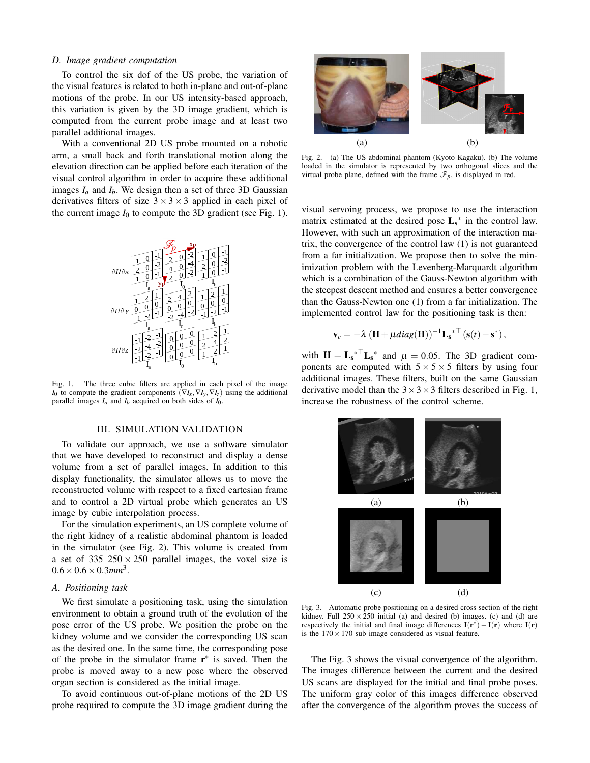#### *D. Image gradient computation*

To control the six dof of the US probe, the variation of the visual features is related to both in-plane and out-of-plane motions of the probe. In our US intensity-based approach, this variation is given by the 3D image gradient, which is computed from the current probe image and at least two parallel additional images.

With a conventional 2D US probe mounted on a robotic arm, a small back and forth translational motion along the elevation direction can be applied before each iteration of the visual control algorithm in order to acquire these additional images  $I_a$  and  $I_b$ . We design then a set of three 3D Gaussian derivatives filters of size  $3 \times 3 \times 3$  applied in each pixel of the current image  $I_0$  to compute the 3D gradient (see Fig. 1).



Fig. 1. The three cubic filters are applied in each pixel of the image *I*<sub>0</sub> to compute the gradient components ( $\nabla I_x$ , $\nabla I_y$ , $\nabla I_z$ ) using the additional parallel images  $I_a$  and  $I_b$  acquired on both sides of  $I_0$ .

#### III. SIMULATION VALIDATION

To validate our approach, we use a software simulator that we have developed to reconstruct and display a dense volume from a set of parallel images. In addition to this display functionality, the simulator allows us to move the reconstructed volume with respect to a fixed cartesian frame and to control a 2D virtual probe which generates an US image by cubic interpolation process.

For the simulation experiments, an US complete volume of the right kidney of a realistic abdominal phantom is loaded in the simulator (see Fig. 2). This volume is created from a set of 335  $250 \times 250$  parallel images, the voxel size is  $0.6 \times 0.6 \times 0.3$ mm<sup>3</sup>.

#### *A. Positioning task*

We first simulate a positioning task, using the simulation environment to obtain a ground truth of the evolution of the pose error of the US probe. We position the probe on the kidney volume and we consider the corresponding US scan as the desired one. In the same time, the corresponding pose of the probe in the simulator frame  $\mathbf{r}^*$  is saved. Then the probe is moved away to a new pose where the observed organ section is considered as the initial image.

To avoid continuous out-of-plane motions of the 2D US probe required to compute the 3D image gradient during the



Fig. 2. (a) The US abdominal phantom (Kyoto Kagaku). (b) The volume loaded in the simulator is represented by two orthogonal slices and the virtual probe plane, defined with the frame  $\mathcal{F}_p$ , is displayed in red.

visual servoing process, we propose to use the interaction matrix estimated at the desired pose  $L_s^*$  in the control law. However, with such an approximation of the interaction matrix, the convergence of the control law (1) is not guaranteed from a far initialization. We propose then to solve the minimization problem with the Levenberg-Marquardt algorithm which is a combination of the Gauss-Newton algorithm with the steepest descent method and ensures a better convergence than the Gauss-Newton one (1) from a far initialization. The implemented control law for the positioning task is then:

$$
\mathbf{v}_c = -\lambda \left( \mathbf{H} + \mu \operatorname{diag}(\mathbf{H}) \right)^{-1} {\mathbf{L_s}^*}^\top \left( \mathbf{s}(t) - \mathbf{s}^* \right),
$$

with  $\mathbf{H} = \mathbf{L_s}^{*T} \mathbf{L_s}^*$  and  $\mu = 0.05$ . The 3D gradient components are computed with  $5 \times 5 \times 5$  filters by using four additional images. These filters, built on the same Gaussian derivative model than the  $3 \times 3 \times 3$  filters described in Fig. 1, increase the robustness of the control scheme.



Fig. 3. Automatic probe positioning on a desired cross section of the right kidney. Full  $250 \times 250$  initial (a) and desired (b) images. (c) and (d) are respectively the initial and final image differences  $I(r^*) - I(r)$  where  $I(r)$ is the  $170 \times 170$  sub image considered as visual feature.

The Fig. 3 shows the visual convergence of the algorithm. The images difference between the current and the desired US scans are displayed for the initial and final probe poses. The uniform gray color of this images difference observed after the convergence of the algorithm proves the success of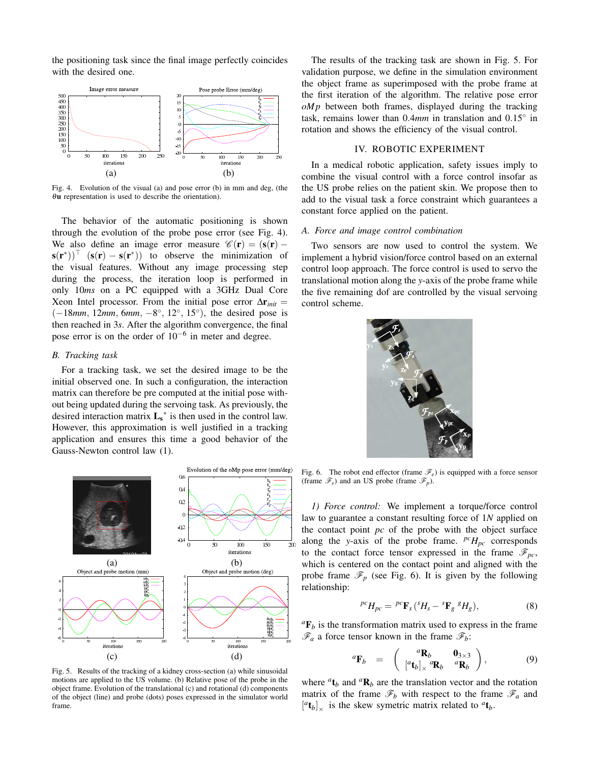the positioning task since the final image perfectly coincides with the desired one.



Fig. 4. Evolution of the visual (a) and pose error (b) in mm and deg, (the  $\theta$ **u** representation is used to describe the orientation).

The behavior of the automatic positioning is shown through the evolution of the probe pose error (see Fig. 4). We also define an image error measure  $\mathcal{C}(\mathbf{r}) = (\mathbf{s}(\mathbf{r}) - \mathbf{r})$  $(s(r^*))$ <sup>T</sup>  $(s(r) - s(r^*))$  to observe the minimization of the visual features. Without any image processing step during the process, the iteration loop is performed in only 10*ms* on a PC equipped with a 3GHz Dual Core Xeon Intel processor. From the initial pose error  $\Delta r_{init}$  = (−18*mm*, 12*mm*, 6*mm*, −8 ◦ , 12◦ , 15◦ ), the desired pose is then reached in 3*s*. After the algorithm convergence, the final pose error is on the order of 10<sup>-6</sup> in meter and degree.

#### *B. Tracking task*

For a tracking task, we set the desired image to be the initial observed one. In such a configuration, the interaction matrix can therefore be pre computed at the initial pose without being updated during the servoing task. As previously, the desired interaction matrix  $L_s^*$  is then used in the control law. However, this approximation is well justified in a tracking application and ensures this time a good behavior of the Gauss-Newton control law (1).



Fig. 5. Results of the tracking of a kidney cross-section (a) while sinusoidal motions are applied to the US volume. (b) Relative pose of the probe in the object frame. Evolution of the translational (c) and rotational (d) components of the object (line) and probe (dots) poses expressed in the simulator world frame.

The results of the tracking task are shown in Fig. 5. For validation purpose, we define in the simulation environment the object frame as superimposed with the probe frame at the first iteration of the algorithm. The relative pose error *oMp* between both frames, displayed during the tracking task, remains lower than 0.4*mm* in translation and 0.15◦ in rotation and shows the efficiency of the visual control.

#### IV. ROBOTIC EXPERIMENT

In a medical robotic application, safety issues imply to combine the visual control with a force control insofar as the US probe relies on the patient skin. We propose then to add to the visual task a force constraint which guarantees a constant force applied on the patient.

#### *A. Force and image control combination*

Two sensors are now used to control the system. We implement a hybrid vision/force control based on an external control loop approach. The force control is used to servo the translational motion along the *y*-axis of the probe frame while the five remaining dof are controlled by the visual servoing control scheme.



Fig. 6. The robot end effector (frame  $\mathcal{F}_e$ ) is equipped with a force sensor (frame  $\mathscr{F}_s$ ) and an US probe (frame  $\mathscr{F}_p$ ).

*1) Force control:* We implement a torque/force control law to guarantee a constant resulting force of 1*N* applied on the contact point *pc* of the probe with the object surface along the *y*-axis of the probe frame.  $P^cH_{pc}$  corresponds to the contact force tensor expressed in the frame  $\mathscr{F}_{pc}$ , which is centered on the contact point and aligned with the probe frame  $\mathcal{F}_p$  (see Fig. 6). It is given by the following relationship:

$$
{}^{pc}H_{pc} = {}^{pc}\mathbf{F}_s \left( {}^sH_s - {}^s\mathbf{F}_g \, {}^gH_g \right), \tag{8}
$$

 ${}^a\mathbf{F}_b$  is the transformation matrix used to express in the frame  $\mathscr{F}_a$  a force tensor known in the frame  $\mathscr{F}_b$ :

$$
{}^{a}\mathbf{F}_{b} = \begin{pmatrix} {}^{a}\mathbf{R}_{b} & \mathbf{0}_{3\times 3} \\ {}^{a}\mathbf{t}_{b} \end{pmatrix}, \qquad (9)
$$

where  ${}^a$ **t**<sub>*b*</sub> and  ${}^a$ **R**<sub>*b*</sub> are the translation vector and the rotation matrix of the frame  $\mathscr{F}_b$  with respect to the frame  $\mathscr{F}_a$  and  $\begin{bmatrix} a_{t_b} \end{bmatrix}$  is the skew symetric matrix related to  $\begin{bmatrix} a_{t_b} \end{bmatrix}$ .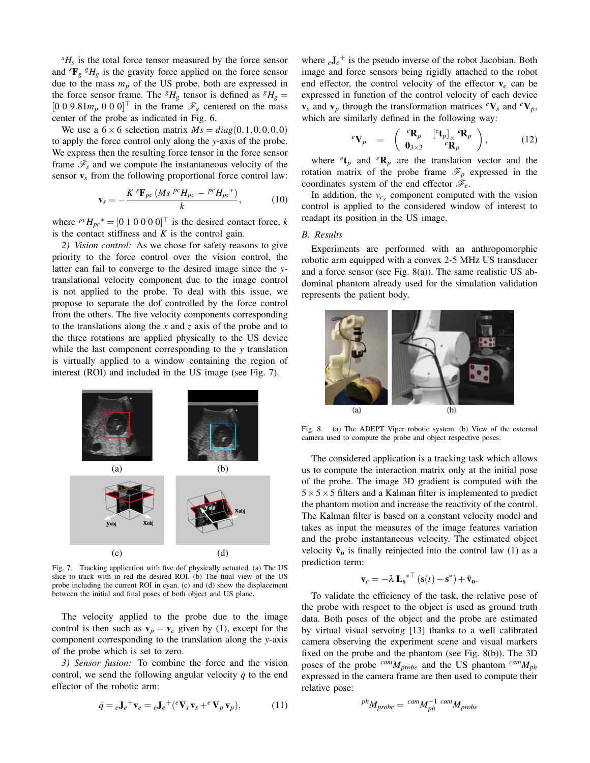${}^{s}H_{s}$  is the total force tensor measured by the force sensor and  ${}^{s}$ **F**<sub>g</sub>  ${}^{g}$ *H*<sub>g</sub> is the gravity force applied on the force sensor due to the mass *m<sup>p</sup>* of the US probe, both are expressed in the force sensor frame. The <sup>g</sup>H<sub>g</sub> tensor is defined as  ${}^{g}H_{g}$  =  $[0\ 0\ 9.81m_p\ 0\ 0\ 0]^\top$  in the frame  $\mathscr{F}_g$  centered on the mass center of the probe as indicated in Fig. 6.

We use a  $6 \times 6$  selection matrix  $Ms = diag(0, 1, 0, 0, 0, 0)$ to apply the force control only along the *y*-axis of the probe. We express then the resulting force tensor in the force sensor frame  $\mathcal{F}_s$  and we compute the instantaneous velocity of the sensor v*<sup>s</sup>* from the following proportional force control law:

$$
\mathbf{v}_s = -\frac{K^s \mathbf{F}_{pc} \left(Ms^{\ pc} H_{pc} - {^{pc} H_{pc}}^* \right)}{k},\tag{10}
$$

where  $^{pc}H_{pc}^{*} = [0 1 0 0 0 0]^\top$  is the desired contact force, *k* is the contact stiffness and  $K$  is the control gain.

*2) Vision control:* As we chose for safety reasons to give priority to the force control over the vision control, the latter can fail to converge to the desired image since the *y*translational velocity component due to the image control is not applied to the probe. To deal with this issue, we propose to separate the dof controlled by the force control from the others. The five velocity components corresponding to the translations along the *x* and *z* axis of the probe and to the three rotations are applied physically to the US device while the last component corresponding to the *y* translation is virtually applied to a window containing the region of interest (ROI) and included in the US image (see Fig. 7).



Fig. 7. Tracking application with five dof physically actuated. (a) The US slice to track with in red the desired ROI. (b) The final view of the US probe including the current ROI in cyan. (c) and (d) show the displacement between the initial and final poses of both object and US plane.

The velocity applied to the probe due to the image control is then such as  $\mathbf{v}_p = \mathbf{v}_c$  given by (1), except for the component corresponding to the translation along the *y*-axis of the probe which is set to zero.

*3) Sensor fusion:* To combine the force and the vision control, we send the following angular velocity  $\dot{q}$  to the end effector of the robotic arm:

$$
\dot{q} = eJ_e^+ \mathbf{v}_e = eJ_e^+({}^e\mathbf{V}_s\mathbf{v}_s + {}^e\mathbf{V}_p\mathbf{v}_p),\tag{11}
$$

where  $_eJ_e^+$  is the pseudo inverse of the robot Jacobian. Both image and force sensors being rigidly attached to the robot end effector, the control velocity of the effector  $v_e$  can be expressed in function of the control velocity of each device  $v_s$  and  $v_p$  through the transformation matrices  $eV_s$  and  $eV_p$ , which are similarly defined in the following way:

$$
{}^{e}\mathbf{V}_{p} = \begin{pmatrix} {}^{e}\mathbf{R}_{p} & {}^{[e}\mathbf{t}_{p}]_{\times} {}^{e}\mathbf{R}_{p} \\ \mathbf{0}_{3\times 3} & {}^{e}\mathbf{R}_{p} \end{pmatrix}, \quad (12)
$$

where  $e_{\mathbf{t}_p}$  and  $e_{\mathbf{R}_p}$  are the translation vector and the rotation matrix of the probe frame  $\mathcal{F}_p$  expressed in the coordinates system of the end effector  $\mathscr{F}_e$ .

In addition, the  $v_{c_y}$  component computed with the vision control is applied to the considered window of interest to readapt its position in the US image.

#### *B. Results*

Experiments are performed with an anthropomorphic robotic arm equipped with a convex 2-5 MHz US transducer and a force sensor (see Fig. 8(a)). The same realistic US abdominal phantom already used for the simulation validation represents the patient body.



Fig. 8. (a) The ADEPT Viper robotic system. (b) View of the external camera used to compute the probe and object respective poses.

The considered application is a tracking task which allows us to compute the interaction matrix only at the initial pose of the probe. The image 3D gradient is computed with the  $5 \times 5 \times 5$  filters and a Kalman filter is implemented to predict the phantom motion and increase the reactivity of the control. The Kalman filter is based on a constant velocity model and takes as input the measures of the image features variation and the probe instantaneous velocity. The estimated object velocity  $\hat{v}_0$  is finally reinjected into the control law (1) as a prediction term:

$$
\mathbf{v}_c = -\lambda \mathbf{L_s}^{* \top} (\mathbf{s}(t) - \mathbf{s}^*) + \hat{\mathbf{v}}_0.
$$

To validate the efficiency of the task, the relative pose of the probe with respect to the object is used as ground truth data. Both poses of the object and the probe are estimated by virtual visual servoing [13] thanks to a well calibrated camera observing the experiment scene and visual markers fixed on the probe and the phantom (see Fig. 8(b)). The 3D poses of the probe *camMprobe* and the US phantom *camMph* expressed in the camera frame are then used to compute their relative pose:

$$
^{ph}M_{probe} = {^{cam}M_{ph}^{-1}} {^{cam}M_{probe}}
$$